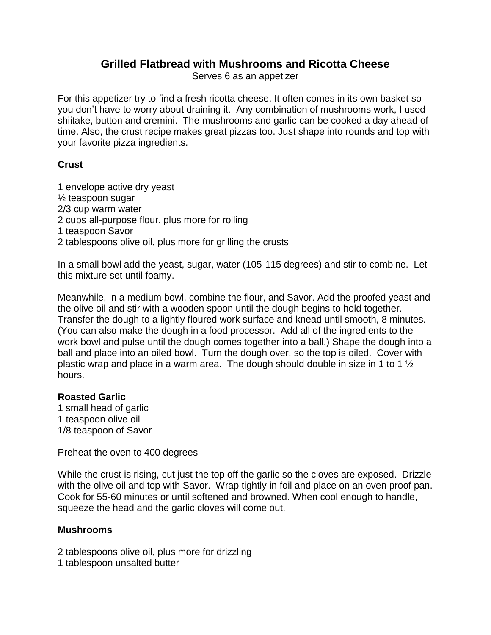## **Grilled Flatbread with Mushrooms and Ricotta Cheese**

Serves 6 as an appetizer

For this appetizer try to find a fresh ricotta cheese. It often comes in its own basket so you don't have to worry about draining it. Any combination of mushrooms work, I used shiitake, button and cremini. The mushrooms and garlic can be cooked a day ahead of time. Also, the crust recipe makes great pizzas too. Just shape into rounds and top with your favorite pizza ingredients.

## **Crust**

1 envelope active dry yeast ½ teaspoon sugar 2/3 cup warm water 2 cups all-purpose flour, plus more for rolling 1 teaspoon Savor 2 tablespoons olive oil, plus more for grilling the crusts

In a small bowl add the yeast, sugar, water (105-115 degrees) and stir to combine. Let this mixture set until foamy.

Meanwhile, in a medium bowl, combine the flour, and Savor. Add the proofed yeast and the olive oil and stir with a wooden spoon until the dough begins to hold together. Transfer the dough to a lightly floured work surface and knead until smooth, 8 minutes. (You can also make the dough in a food processor. Add all of the ingredients to the work bowl and pulse until the dough comes together into a ball.) Shape the dough into a ball and place into an oiled bowl. Turn the dough over, so the top is oiled. Cover with plastic wrap and place in a warm area. The dough should double in size in 1 to 1  $\frac{1}{2}$ hours.

## **Roasted Garlic**

1 small head of garlic 1 teaspoon olive oil 1/8 teaspoon of Savor

Preheat the oven to 400 degrees

While the crust is rising, cut just the top off the garlic so the cloves are exposed. Drizzle with the olive oil and top with Savor. Wrap tightly in foil and place on an oven proof pan. Cook for 55-60 minutes or until softened and browned. When cool enough to handle, squeeze the head and the garlic cloves will come out.

## **Mushrooms**

2 tablespoons olive oil, plus more for drizzling

1 tablespoon unsalted butter